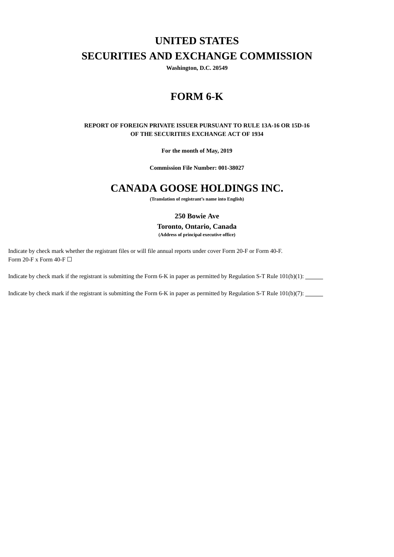# **UNITED STATES SECURITIES AND EXCHANGE COMMISSION**

**Washington, D.C. 20549**

# **FORM 6-K**

#### **REPORT OF FOREIGN PRIVATE ISSUER PURSUANT TO RULE 13A-16 OR 15D-16 OF THE SECURITIES EXCHANGE ACT OF 1934**

**For the month of May, 2019**

**Commission File Number: 001-38027**

## **CANADA GOOSE HOLDINGS INC.**

**(Translation of registrant's name into English)**

**250 Bowie Ave**

**Toronto, Ontario, Canada**

**(Address of principal executive office)**

Indicate by check mark whether the registrant files or will file annual reports under cover Form 20-F or Form 40-F. Form 20-F x Form 40-F  $\Box$ 

Indicate by check mark if the registrant is submitting the Form 6-K in paper as permitted by Regulation S-T Rule 101(b)(1):

Indicate by check mark if the registrant is submitting the Form 6-K in paper as permitted by Regulation S-T Rule 101(b)(7):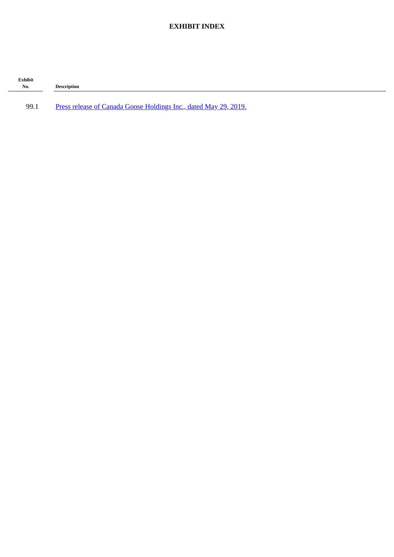## **EXHIBIT INDEX**

| <b>Exhibit</b><br>No. | Description                                                      |
|-----------------------|------------------------------------------------------------------|
|                       |                                                                  |
| 99.1                  | Press release of Canada Goose Holdings Inc., dated May 29, 2019. |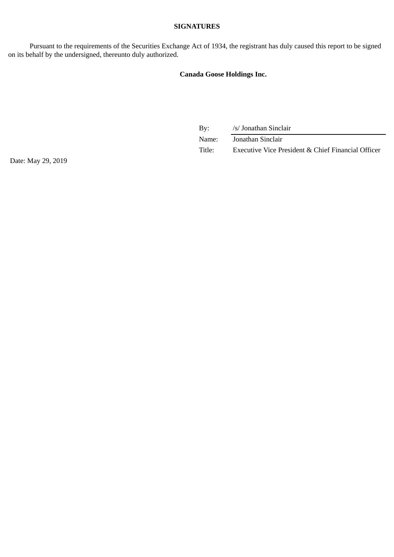## **SIGNATURES**

Pursuant to the requirements of the Securities Exchange Act of 1934, the registrant has duly caused this report to be signed on its behalf by the undersigned, thereunto duly authorized.

## **Canada Goose Holdings Inc.**

By: /s/ Jonathan Sinclair Name: Jonathan Sinclair Title: Executive Vice President & Chief Financial Officer

Date: May 29, 2019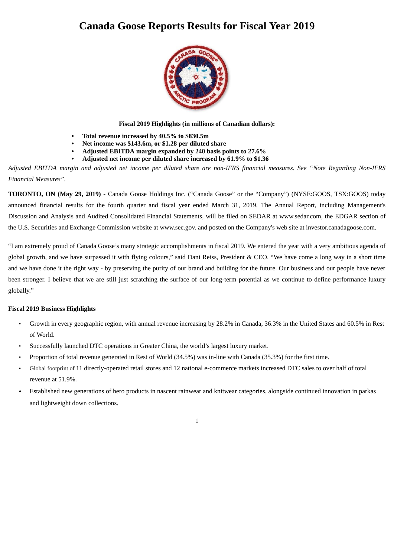## **Canada Goose Reports Results for Fiscal Year 2019**



**Fiscal 2019 Highlights (in millions of Canadian dollars):**

- **• Total revenue increased by 40.5% to \$830.5m**
- **• Net income was \$143.6m, or \$1.28 per diluted share**
- **• Adjusted EBITDA margin expanded by 240 basis points to 27.6%**
- **• Adjusted net income per diluted share increased by 61.9% to \$1.36**

Adjusted EBITDA margin and adjusted net income per diluted share are non-IFRS financial measures. See "Note Regarding Non-IFRS *Financial Measures".*

**TORONTO, ON (May 29, 2019)** - Canada Goose Holdings Inc. ("Canada Goose" or the "Company") (NYSE:GOOS, TSX:GOOS) today announced financial results for the fourth quarter and fiscal year ended March 31, 2019. The Annual Report, including Management's Discussion and Analysis and Audited Consolidated Financial Statements, will be filed on SEDAR at www.sedar.com, the EDGAR section of the U.S. Securities and Exchange Commission website at www.sec.gov. and posted on the Company's web site at investor.canadagoose.com.

"I am extremely proud of Canada Goose's many strategic accomplishments in fiscal 2019. We entered the year with a very ambitious agenda of global growth, and we have surpassed it with flying colours," said Dani Reiss, President & CEO. "We have come a long way in a short time and we have done it the right way - by preserving the purity of our brand and building for the future. Our business and our people have never been stronger. I believe that we are still just scratching the surface of our long-term potential as we continue to define performance luxury globally."

#### **Fiscal 2019 Business Highlights**

- Growth in every geographic region, with annual revenue increasing by 28.2% in Canada, 36.3% in the United States and 60.5% in Rest of World.
- Successfully launched DTC operations in Greater China, the world's largest luxury market.
- Proportion of total revenue generated in Rest of World (34.5%) was in-line with Canada (35.3%) for the first time.
- Global footprint of 11 directly-operated retail stores and 12 national e-commerce markets increased DTC sales to over half of total revenue at 51.9%.
- Established new generations of hero products in nascent rainwear and knitwear categories, alongside continued innovation in parkas and lightweight down collections.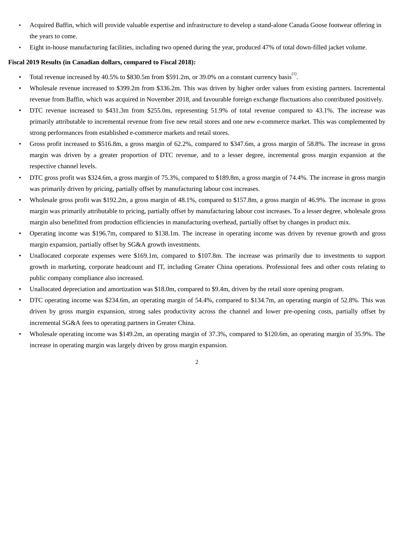- Acquired Baffin, which will provide valuable expertise and infrastructure to develop a stand-alone Canada Goose footwear offering in the years to come.
- Eight in-house manufacturing facilities, including two opened during the year, produced 47% of total down-filled jacket volume.

## **Fiscal 2019 Results (in Canadian dollars, compared to Fiscal 2018):**

- Total revenue increased by 40.5% to \$830.5m from \$591.2m, or 39.0% on a constant currency basis<sup>(1)</sup>.
- Wholesale revenue increased to \$399.2m from \$336.2m. This was driven by higher order values from existing partners. Incremental revenue from Baffin, which was acquired in November 2018, and favourable foreign exchange fluctuations also contributed positively.
- DTC revenue increased to \$431.3m from \$255.0m, representing 51.9% of total revenue compared to 43.1%. The increase was primarily attributable to incremental revenue from five new retail stores and one new e-commerce market. This was complemented by strong performances from established e-commerce markets and retail stores.
- Gross profit increased to \$516.8m, a gross margin of 62.2%, compared to \$347.6m, a gross margin of 58.8%. The increase in gross margin was driven by a greater proportion of DTC revenue, and to a lesser degree, incremental gross margin expansion at the respective channel levels.
- DTC gross profit was \$324.6m, a gross margin of 75.3%, compared to \$189.8m, a gross margin of 74.4%. The increase in gross margin was primarily driven by pricing, partially offset by manufacturing labour cost increases.
- Wholesale gross profit was \$192.2m, a gross margin of 48.1%, compared to \$157.8m, a gross margin of 46.9%. The increase in gross margin was primarily attributable to pricing, partially offset by manufacturing labour cost increases. To a lesser degree, wholesale gross margin also benefitted from production efficiencies in manufacturing overhead, partially offset by changes in product mix.
- Operating income was \$196.7m, compared to \$138.1m. The increase in operating income was driven by revenue growth and gross margin expansion, partially offset by SG&A growth investments.
- Unallocated corporate expenses were \$169.1m, compared to \$107.8m. The increase was primarily due to investments to support growth in marketing, corporate headcount and IT, including Greater China operations. Professional fees and other costs relating to public company compliance also increased.
- Unallocated depreciation and amortization was \$18.0m, compared to \$9.4m, driven by the retail store opening program.
- DTC operating income was \$234.6m, an operating margin of 54.4%, compared to \$134.7m, an operating margin of 52.8%. This was driven by gross margin expansion, strong sales productivity across the channel and lower pre-opening costs, partially offset by incremental SG&A fees to operating partners in Greater China.
- Wholesale operating income was \$149.2m, an operating margin of 37.3%, compared to \$120.6m, an operating margin of 35.9%. The increase in operating margin was largely driven by gross margin expansion.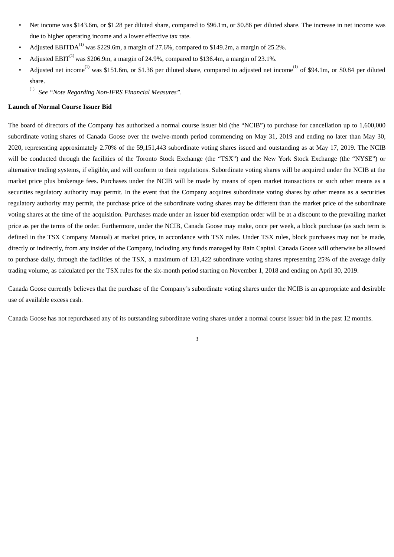- Net income was \$143.6m, or \$1.28 per diluted share, compared to \$96.1m, or \$0.86 per diluted share. The increase in net income was due to higher operating income and a lower effective tax rate.
- Adjusted EBITDA $^{(1)}$  was \$229.6m, a margin of 27.6%, compared to \$149.2m, a margin of 25.2%.
- Adjusted EBIT $^{(1)}$  was \$206.9m, a margin of 24.9%, compared to \$136.4m, a margin of 23.1%.
- Adjusted net income<sup>(1)</sup> was \$151.6m, or \$1.36 per diluted share, compared to adjusted net income<sup>(1)</sup> of \$94.1m, or \$0.84 per diluted share.
	- (1) *See "Note Regarding Non-IFRS Financial Measures".*

#### **Launch of Normal Course Issuer Bid**

The board of directors of the Company has authorized a normal course issuer bid (the "NCIB") to purchase for cancellation up to 1,600,000 subordinate voting shares of Canada Goose over the twelve-month period commencing on May 31, 2019 and ending no later than May 30, 2020, representing approximately 2.70% of the 59,151,443 subordinate voting shares issued and outstanding as at May 17, 2019. The NCIB will be conducted through the facilities of the Toronto Stock Exchange (the "TSX") and the New York Stock Exchange (the "NYSE") or alternative trading systems, if eligible, and will conform to their regulations. Subordinate voting shares will be acquired under the NCIB at the market price plus brokerage fees. Purchases under the NCIB will be made by means of open market transactions or such other means as a securities regulatory authority may permit. In the event that the Company acquires subordinate voting shares by other means as a securities regulatory authority may permit, the purchase price of the subordinate voting shares may be different than the market price of the subordinate voting shares at the time of the acquisition. Purchases made under an issuer bid exemption order will be at a discount to the prevailing market price as per the terms of the order. Furthermore, under the NCIB, Canada Goose may make, once per week, a block purchase (as such term is defined in the TSX Company Manual) at market price, in accordance with TSX rules. Under TSX rules, block purchases may not be made, directly or indirectly, from any insider of the Company, including any funds managed by Bain Capital. Canada Goose will otherwise be allowed to purchase daily, through the facilities of the TSX, a maximum of 131,422 subordinate voting shares representing 25% of the average daily trading volume, as calculated per the TSX rules for the six-month period starting on November 1, 2018 and ending on April 30, 2019.

Canada Goose currently believes that the purchase of the Company's subordinate voting shares under the NCIB is an appropriate and desirable use of available excess cash.

3

Canada Goose has not repurchased any of its outstanding subordinate voting shares under a normal course issuer bid in the past 12 months.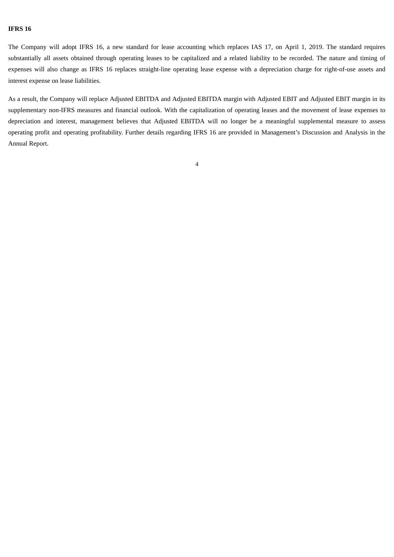#### **IFRS 16**

The Company will adopt IFRS 16, a new standard for lease accounting which replaces IAS 17, on April 1, 2019. The standard requires substantially all assets obtained through operating leases to be capitalized and a related liability to be recorded. The nature and timing of expenses will also change as IFRS 16 replaces straight-line operating lease expense with a depreciation charge for right-of-use assets and interest expense on lease liabilities.

As a result, the Company will replace Adjusted EBITDA and Adjusted EBITDA margin with Adjusted EBIT and Adjusted EBIT margin in its supplementary non-IFRS measures and financial outlook. With the capitalization of operating leases and the movement of lease expenses to depreciation and interest, management believes that Adjusted EBITDA will no longer be a meaningful supplemental measure to assess operating profit and operating profitability. Further details regarding IFRS 16 are provided in Management's Discussion and Analysis in the Annual Report.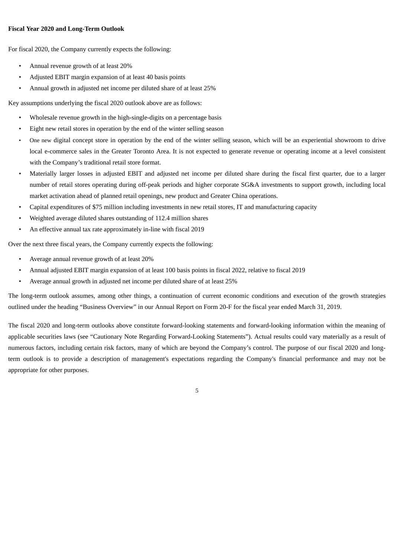#### **Fiscal Year 2020 and Long-Term Outlook**

For fiscal 2020, the Company currently expects the following:

- Annual revenue growth of at least 20%
- Adjusted EBIT margin expansion of at least 40 basis points
- Annual growth in adjusted net income per diluted share of at least 25%

Key assumptions underlying the fiscal 2020 outlook above are as follows:

- Wholesale revenue growth in the high-single-digits on a percentage basis
- Eight new retail stores in operation by the end of the winter selling season
- One new digital concept store in operation by the end of the winter selling season, which will be an experiential showroom to drive local e-commerce sales in the Greater Toronto Area. It is not expected to generate revenue or operating income at a level consistent with the Company's traditional retail store format.
- Materially larger losses in adjusted EBIT and adjusted net income per diluted share during the fiscal first quarter, due to a larger number of retail stores operating during off-peak periods and higher corporate SG&A investments to support growth, including local market activation ahead of planned retail openings, new product and Greater China operations.
- Capital expenditures of \$75 million including investments in new retail stores, IT and manufacturing capacity
- Weighted average diluted shares outstanding of 112.4 million shares
- An effective annual tax rate approximately in-line with fiscal 2019

Over the next three fiscal years, the Company currently expects the following:

- Average annual revenue growth of at least 20%
- Annual adjusted EBIT margin expansion of at least 100 basis points in fiscal 2022, relative to fiscal 2019
- Average annual growth in adjusted net income per diluted share of at least 25%

The long-term outlook assumes, among other things, a continuation of current economic conditions and execution of the growth strategies outlined under the heading "Business Overview" in our Annual Report on Form 20-F for the fiscal year ended March 31, 2019.

The fiscal 2020 and long-term outlooks above constitute forward-looking statements and forward-looking information within the meaning of applicable securities laws (see "Cautionary Note Regarding Forward-Looking Statements"). Actual results could vary materially as a result of numerous factors, including certain risk factors, many of which are beyond the Company's control. The purpose of our fiscal 2020 and longterm outlook is to provide a description of management's expectations regarding the Company's financial performance and may not be appropriate for other purposes.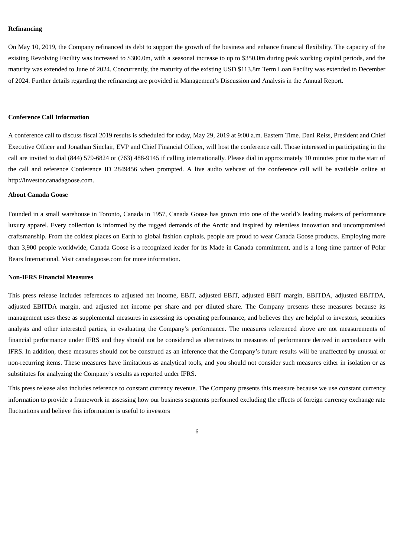#### **Refinancing**

On May 10, 2019, the Company refinanced its debt to support the growth of the business and enhance financial flexibility. The capacity of the existing Revolving Facility was increased to \$300.0m, with a seasonal increase to up to \$350.0m during peak working capital periods, and the maturity was extended to June of 2024. Concurrently, the maturity of the existing USD \$113.8m Term Loan Facility was extended to December of 2024. Further details regarding the refinancing are provided in Management's Discussion and Analysis in the Annual Report.

#### **Conference Call Information**

A conference call to discuss fiscal 2019 results is scheduled for today, May 29, 2019 at 9:00 a.m. Eastern Time. Dani Reiss, President and Chief Executive Officer and Jonathan Sinclair, EVP and Chief Financial Officer, will host the conference call. Those interested in participating in the call are invited to dial (844) 579-6824 or (763) 488-9145 if calling internationally. Please dial in approximately 10 minutes prior to the start of the call and reference Conference ID 2849456 when prompted. A live audio webcast of the conference call will be available online at http://investor.canadagoose.com.

#### **About Canada Goose**

Founded in a small warehouse in Toronto, Canada in 1957, Canada Goose has grown into one of the world's leading makers of performance luxury apparel. Every collection is informed by the rugged demands of the Arctic and inspired by relentless innovation and uncompromised craftsmanship. From the coldest places on Earth to global fashion capitals, people are proud to wear Canada Goose products. Employing more than 3,900 people worldwide, Canada Goose is a recognized leader for its Made in Canada commitment, and is a long-time partner of Polar Bears International. Visit canadagoose.com for more information.

#### **Non-IFRS Financial Measures**

This press release includes references to adjusted net income, EBIT, adjusted EBIT, adjusted EBIT margin, EBITDA, adjusted EBITDA, adjusted EBITDA margin, and adjusted net income per share and per diluted share. The Company presents these measures because its management uses these as supplemental measures in assessing its operating performance, and believes they are helpful to investors, securities analysts and other interested parties, in evaluating the Company's performance. The measures referenced above are not measurements of financial performance under IFRS and they should not be considered as alternatives to measures of performance derived in accordance with IFRS. In addition, these measures should not be construed as an inference that the Company's future results will be unaffected by unusual or non-recurring items. These measures have limitations as analytical tools, and you should not consider such measures either in isolation or as substitutes for analyzing the Company's results as reported under IFRS.

This press release also includes reference to constant currency revenue. The Company presents this measure because we use constant currency information to provide a framework in assessing how our business segments performed excluding the effects of foreign currency exchange rate fluctuations and believe this information is useful to investors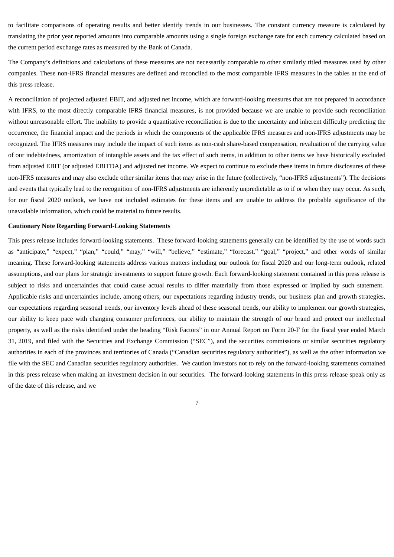to facilitate comparisons of operating results and better identify trends in our businesses. The constant currency measure is calculated by translating the prior year reported amounts into comparable amounts using a single foreign exchange rate for each currency calculated based on the current period exchange rates as measured by the Bank of Canada.

The Company's definitions and calculations of these measures are not necessarily comparable to other similarly titled measures used by other companies. These non-IFRS financial measures are defined and reconciled to the most comparable IFRS measures in the tables at the end of this press release.

A reconciliation of projected adjusted EBIT, and adjusted net income, which are forward-looking measures that are not prepared in accordance with IFRS, to the most directly comparable IFRS financial measures, is not provided because we are unable to provide such reconciliation without unreasonable effort. The inability to provide a quantitative reconciliation is due to the uncertainty and inherent difficulty predicting the occurrence, the financial impact and the periods in which the components of the applicable IFRS measures and non-IFRS adjustments may be recognized. The IFRS measures may include the impact of such items as non-cash share-based compensation, revaluation of the carrying value of our indebtedness, amortization of intangible assets and the tax effect of such items, in addition to other items we have historically excluded from adjusted EBIT (or adjusted EBITDA) and adjusted net income. We expect to continue to exclude these items in future disclosures of these non-IFRS measures and may also exclude other similar items that may arise in the future (collectively, "non-IFRS adjustments"). The decisions and events that typically lead to the recognition of non-IFRS adjustments are inherently unpredictable as to if or when they may occur. As such, for our fiscal 2020 outlook, we have not included estimates for these items and are unable to address the probable significance of the unavailable information, which could be material to future results.

#### **Cautionary Note Regarding Forward-Looking Statements**

This press release includes forward-looking statements. These forward-looking statements generally can be identified by the use of words such as "anticipate," "expect," "plan," "could," "may," "will," "believe," "estimate," "forecast," "goal," "project," and other words of similar meaning. These forward-looking statements address various matters including our outlook for fiscal 2020 and our long-term outlook, related assumptions, and our plans for strategic investments to support future growth. Each forward-looking statement contained in this press release is subject to risks and uncertainties that could cause actual results to differ materially from those expressed or implied by such statement. Applicable risks and uncertainties include, among others, our expectations regarding industry trends, our business plan and growth strategies, our expectations regarding seasonal trends, our inventory levels ahead of these seasonal trends, our ability to implement our growth strategies, our ability to keep pace with changing consumer preferences, our ability to maintain the strength of our brand and protect our intellectual property, as well as the risks identified under the heading "Risk Factors" in our Annual Report on Form 20-F for the fiscal year ended March 31, 2019, and filed with the Securities and Exchange Commission ("SEC"), and the securities commissions or similar securities regulatory authorities in each of the provinces and territories of Canada ("Canadian securities regulatory authorities"), as well as the other information we file with the SEC and Canadian securities regulatory authorities. We caution investors not to rely on the forward-looking statements contained in this press release when making an investment decision in our securities. The forward-looking statements in this press release speak only as of the date of this release, and we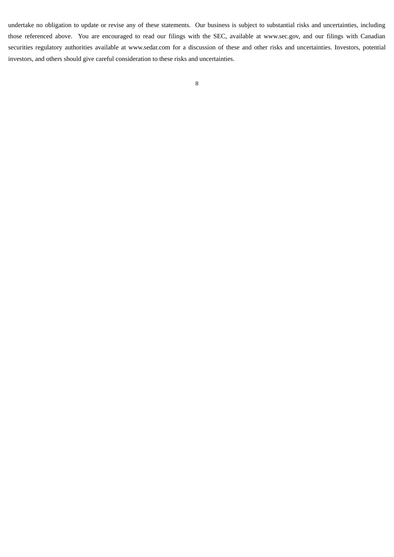undertake no obligation to update or revise any of these statements. Our business is subject to substantial risks and uncertainties, including those referenced above. You are encouraged to read our filings with the SEC, available at www.sec.gov, and our filings with Canadian securities regulatory authorities available at www.sedar.com for a discussion of these and other risks and uncertainties. Investors, potential investors, and others should give careful consideration to these risks and uncertainties.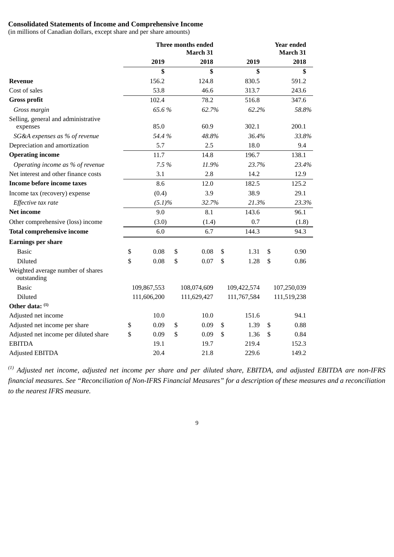## **Consolidated Statements of Income and Comprehensive Income**

(in millions of Canadian dollars, except share and per share amounts)

|                                                  |             | Three months ended<br>March 31 |             | <b>Year ended</b><br>March 31 |
|--------------------------------------------------|-------------|--------------------------------|-------------|-------------------------------|
|                                                  | 2019        | 2018                           | 2019        | 2018                          |
|                                                  | \$          | \$                             | \$          | \$                            |
| Revenue                                          | 156.2       | 124.8                          | 830.5       | 591.2                         |
| Cost of sales                                    | 53.8        | 46.6                           | 313.7       | 243.6                         |
| <b>Gross profit</b>                              | 102.4       | 78.2                           | 516.8       | 347.6                         |
| Gross margin                                     | 65.6%       | 62.7%                          | 62.2%       | 58.8%                         |
| Selling, general and administrative<br>expenses  | 85.0        | 60.9                           | 302.1       | 200.1                         |
| SG&A expenses as % of revenue                    | 54.4 %      | 48.8%                          | 36.4%       | 33.8%                         |
| Depreciation and amortization                    | 5.7         | 2.5                            | 18.0        | 9.4                           |
| <b>Operating income</b>                          | 11.7        | 14.8                           | 196.7       | 138.1                         |
| Operating income as % of revenue                 | 7.5%        | 11.9%                          | 23.7%       | 23.4%                         |
| Net interest and other finance costs             | 3.1         | 2.8                            | 14.2        | 12.9                          |
| Income before income taxes                       | 8.6         | 12.0                           | 182.5       | 125.2                         |
| Income tax (recovery) expense                    | (0.4)       | 3.9                            | 38.9        | 29.1                          |
| Effective tax rate                               | (5.1)%      | 32.7%                          | 21.3%       | 23.3%                         |
| <b>Net income</b>                                | 9.0         | 8.1                            | 143.6       | 96.1                          |
| Other comprehensive (loss) income                | (3.0)       | (1.4)                          | 0.7         | (1.8)                         |
| <b>Total comprehensive income</b>                | 6.0         | 6.7                            | 144.3       | 94.3                          |
| <b>Earnings per share</b>                        |             |                                |             |                               |
| <b>Basic</b>                                     | \$<br>0.08  | \$<br>0.08                     | \$<br>1.31  | \$<br>0.90                    |
| Diluted                                          | \$<br>0.08  | \$<br>0.07                     | \$<br>1.28  | \$<br>0.86                    |
| Weighted average number of shares<br>outstanding |             |                                |             |                               |
| <b>Basic</b>                                     | 109,867,553 | 108,074,609                    | 109,422,574 | 107,250,039                   |
| Diluted                                          | 111,606,200 | 111,629,427                    | 111,767,584 | 111,519,238                   |
| Other data: (1)                                  |             |                                |             |                               |
| Adjusted net income                              | 10.0        | 10.0                           | 151.6       | 94.1                          |
| Adjusted net income per share                    | \$<br>0.09  | \$<br>0.09                     | \$<br>1.39  | \$<br>0.88                    |
| Adjusted net income per diluted share            | \$<br>0.09  | \$<br>0.09                     | \$<br>1.36  | \$<br>0.84                    |
| <b>EBITDA</b>                                    | 19.1        | 19.7                           | 219.4       | 152.3                         |
| <b>Adjusted EBITDA</b>                           | 20.4        | 21.8                           | 229.6       | 149.2                         |

*(1) Adjusted net income, adjusted net income per share and per diluted share, EBITDA, and adjusted EBITDA are non-IFRS financial measures. See "Reconciliation of Non-IFRS Financial Measures" for a description of these measures and a reconciliation to the nearest IFRS measure.*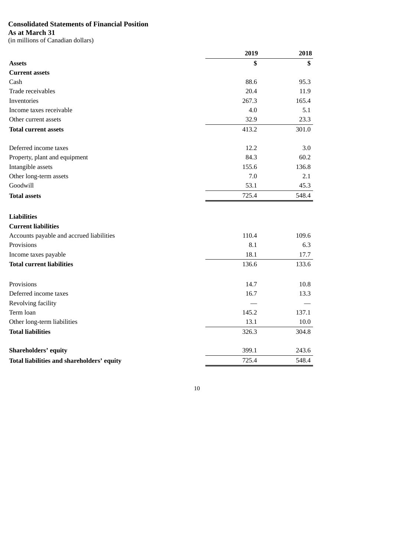## **Consolidated Statements of Financial Position**

## **As at March 31**

(in millions of Canadian dollars)

|                                            | 2019  | 2018  |
|--------------------------------------------|-------|-------|
| <b>Assets</b>                              | \$    | \$    |
| <b>Current assets</b>                      |       |       |
| Cash                                       | 88.6  | 95.3  |
| Trade receivables                          | 20.4  | 11.9  |
| Inventories                                | 267.3 | 165.4 |
| Income taxes receivable                    | 4.0   | 5.1   |
| Other current assets                       | 32.9  | 23.3  |
| <b>Total current assets</b>                | 413.2 | 301.0 |
| Deferred income taxes                      | 12.2  | 3.0   |
| Property, plant and equipment              | 84.3  | 60.2  |
| Intangible assets                          | 155.6 | 136.8 |
| Other long-term assets                     | 7.0   | 2.1   |
| Goodwill                                   | 53.1  | 45.3  |
| <b>Total assets</b>                        | 725.4 | 548.4 |
| <b>Liabilities</b>                         |       |       |
| <b>Current liabilities</b>                 |       |       |
| Accounts payable and accrued liabilities   | 110.4 | 109.6 |
| Provisions                                 | 8.1   | 6.3   |
| Income taxes payable                       | 18.1  | 17.7  |
| <b>Total current liabilities</b>           | 136.6 | 133.6 |
| Provisions                                 | 14.7  | 10.8  |
| Deferred income taxes                      | 16.7  | 13.3  |
| Revolving facility                         |       |       |
| Term loan                                  | 145.2 | 137.1 |
| Other long-term liabilities                | 13.1  | 10.0  |
| <b>Total liabilities</b>                   | 326.3 | 304.8 |
| <b>Shareholders' equity</b>                | 399.1 | 243.6 |
| Total liabilities and shareholders' equity | 725.4 | 548.4 |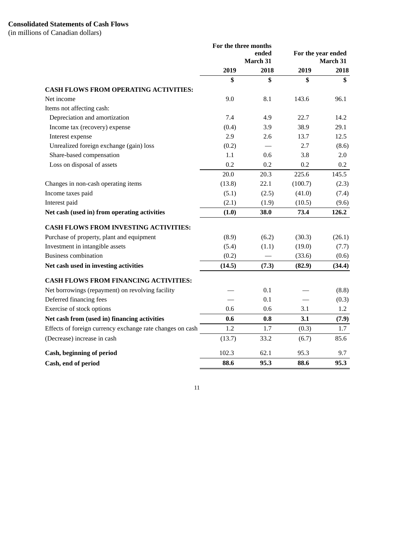## **Consolidated Statements of Cash Flows**

(in millions of Canadian dollars)

|                                                           | For the three months |          |                    |          |
|-----------------------------------------------------------|----------------------|----------|--------------------|----------|
|                                                           |                      | ended    | For the year ended |          |
|                                                           |                      | March 31 |                    | March 31 |
|                                                           | 2019                 | 2018     | 2019               | 2018     |
|                                                           | \$                   | \$       | \$                 | \$       |
| <b>CASH FLOWS FROM OPERATING ACTIVITIES:</b>              |                      |          |                    |          |
| Net income                                                | 9.0                  | 8.1      | 143.6              | 96.1     |
| Items not affecting cash:                                 |                      |          |                    |          |
| Depreciation and amortization                             | 7.4                  | 4.9      | 22.7               | 14.2     |
| Income tax (recovery) expense                             | (0.4)                | 3.9      | 38.9               | 29.1     |
| Interest expense                                          | 2.9                  | 2.6      | 13.7               | 12.5     |
| Unrealized foreign exchange (gain) loss                   | (0.2)                |          | 2.7                | (8.6)    |
| Share-based compensation                                  | 1.1                  | 0.6      | 3.8                | 2.0      |
| Loss on disposal of assets                                | 0.2                  | 0.2      | 0.2                | 0.2      |
|                                                           | 20.0                 | 20.3     | 225.6              | 145.5    |
| Changes in non-cash operating items                       | (13.8)               | 22.1     | (100.7)            | (2.3)    |
| Income taxes paid                                         | (5.1)                | (2.5)    | (41.0)             | (7.4)    |
| Interest paid                                             | (2.1)                | (1.9)    | (10.5)             | (9.6)    |
| Net cash (used in) from operating activities              | (1.0)                | 38.0     | 73.4               | 126.2    |
| <b>CASH FLOWS FROM INVESTING ACTIVITIES:</b>              |                      |          |                    |          |
| Purchase of property, plant and equipment                 | (8.9)                | (6.2)    | (30.3)             | (26.1)   |
| Investment in intangible assets                           | (5.4)                | (1.1)    | (19.0)             | (7.7)    |
| <b>Business combination</b>                               | (0.2)                |          | (33.6)             | (0.6)    |
| Net cash used in investing activities                     | (14.5)               | (7.3)    | (82.9)             | (34.4)   |
| <b>CASH FLOWS FROM FINANCING ACTIVITIES:</b>              |                      |          |                    |          |
| Net borrowings (repayment) on revolving facility          |                      | 0.1      |                    | (8.8)    |
| Deferred financing fees                                   |                      | 0.1      |                    | (0.3)    |
| Exercise of stock options                                 | 0.6                  | 0.6      | 3.1                | 1.2      |
| Net cash from (used in) financing activities              | 0.6                  | 0.8      | 3.1                | (7.9)    |
| Effects of foreign currency exchange rate changes on cash | 1.2                  | 1.7      | (0.3)              | 1.7      |
| (Decrease) increase in cash                               | (13.7)               | 33.2     | (6.7)              | 85.6     |
| Cash, beginning of period                                 | 102.3                | 62.1     | 95.3               | 9.7      |
| Cash, end of period                                       | 88.6                 | 95.3     | 88.6               | 95.3     |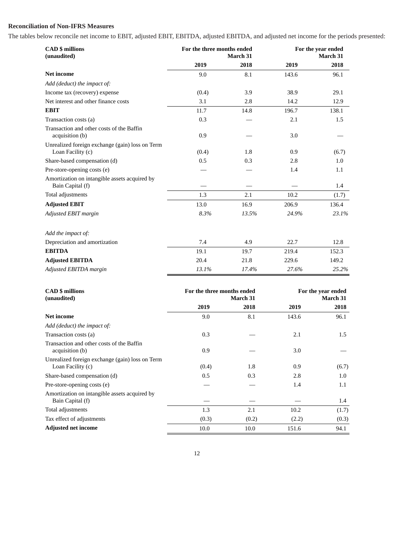## **Reconciliation of Non-IFRS Measures**

The tables below reconcile net income to EBIT, adjusted EBIT, EBITDA, adjusted EBITDA, and adjusted net income for the periods presented:

| <b>CAD</b> \$ millions<br>(unaudited)                                | For the three months ended | March 31 |       | For the year ended<br>March 31 |
|----------------------------------------------------------------------|----------------------------|----------|-------|--------------------------------|
|                                                                      | 2019                       | 2018     | 2019  | 2018                           |
| <b>Net income</b>                                                    | 9.0                        | 8.1      | 143.6 | 96.1                           |
| Add (deduct) the impact of:                                          |                            |          |       |                                |
| Income tax (recovery) expense                                        | (0.4)                      | 3.9      | 38.9  | 29.1                           |
| Net interest and other finance costs                                 | 3.1                        | 2.8      | 14.2  | 12.9                           |
| <b>EBIT</b>                                                          | 11.7                       | 14.8     | 196.7 | 138.1                          |
| Transaction costs (a)                                                | 0.3                        |          | 2.1   | 1.5                            |
| Transaction and other costs of the Baffin<br>acquisition (b)         | 0.9                        |          | 3.0   |                                |
| Unrealized foreign exchange (gain) loss on Term<br>Loan Facility (c) | (0.4)                      | 1.8      | 0.9   | (6.7)                          |
| Share-based compensation (d)                                         | 0.5                        | 0.3      | 2.8   | 1.0                            |
| Pre-store-opening costs (e)                                          |                            |          | 1.4   | 1.1                            |
| Amortization on intangible assets acquired by<br>Bain Capital (f)    |                            |          |       | 1.4                            |
| Total adjustments                                                    | 1.3                        | 2.1      | 10.2  | (1.7)                          |
| <b>Adjusted EBIT</b>                                                 | 13.0                       | 16.9     | 206.9 | 136.4                          |
| Adjusted EBIT margin                                                 | 8.3%                       | 13.5%    | 24.9% | 23.1%                          |
| Add the impact of:                                                   |                            |          |       |                                |
| Depreciation and amortization                                        | 7.4                        | 4.9      | 22.7  | 12.8                           |
| <b>EBITDA</b>                                                        | 19.1                       | 19.7     | 219.4 | 152.3                          |
| <b>Adjusted EBITDA</b>                                               | 20.4                       | 21.8     | 229.6 | 149.2                          |
| Adjusted EBITDA margin                                               | 13.1%                      | 17.4%    | 27.6% | 25.2%                          |

| <b>CAD</b> \$ millions<br>(unaudited)                                | For the three months ended | March 31 | For the year ended<br>March 31 |       |  |
|----------------------------------------------------------------------|----------------------------|----------|--------------------------------|-------|--|
|                                                                      | 2019                       | 2018     | 2019                           | 2018  |  |
| <b>Net income</b>                                                    | 9.0                        | 8.1      | 143.6                          | 96.1  |  |
| Add (deduct) the impact of:                                          |                            |          |                                |       |  |
| Transaction costs (a)                                                | 0.3                        |          | 2.1                            | 1.5   |  |
| Transaction and other costs of the Baffin<br>acquisition (b)         | 0.9                        |          | 3.0                            |       |  |
| Unrealized foreign exchange (gain) loss on Term<br>Loan Facility (c) | (0.4)                      | 1.8      | 0.9                            | (6.7) |  |
| Share-based compensation (d)                                         | 0.5                        | 0.3      | 2.8                            | 1.0   |  |
| Pre-store-opening costs (e)                                          |                            |          | 1.4                            | 1.1   |  |
| Amortization on intangible assets acquired by<br>Bain Capital (f)    |                            |          |                                | 1.4   |  |
| Total adjustments                                                    | 1.3                        | 2.1      | 10.2                           | (1.7) |  |
| Tax effect of adjustments                                            | (0.3)                      | (0.2)    | (2.2)                          | (0.3) |  |
| <b>Adjusted net income</b>                                           | 10.0                       | 10.0     | 151.6                          | 94.1  |  |